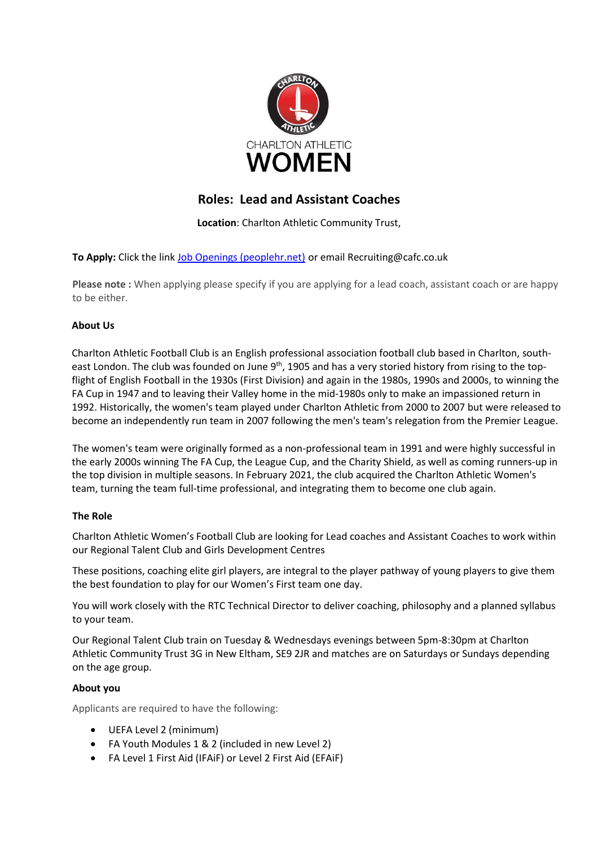

# **Roles: Lead and Assistant Coaches**

**Location**: Charlton Athletic Community Trust,

**To Apply:** Click the lin[k Job Openings \(peoplehr.net\)](https://cafc.peoplehr.net/Pages/JobBoard/Opening.aspx?v=d87b9d80-459b-45e4-978e-fdf592703651) or email Recruiting@cafc.co.uk

**Please note :** When applying please specify if you are applying for a lead coach, assistant coach or are happy to be either.

## **About Us**

Charlton Athletic Football Club is an English professional association football club based in Charlton, southeast London. The club was founded on June 9<sup>th</sup>, 1905 and has a very storied history from rising to the topflight of English Football in the 1930s (First Division) and again in the 1980s, 1990s and 2000s, to winning the FA Cup in 1947 and to leaving their Valley home in the mid-1980s only to make an impassioned return in 1992. Historically, the women's team played under Charlton Athletic from 2000 to 2007 but were released to become an independently run team in 2007 following the men's team's relegation from the Premier League.

The women's team were originally formed as a non-professional team in 1991 and were highly successful in the early 2000s winning The FA Cup, the League Cup, and the Charity Shield, as well as coming runners-up in the top division in multiple seasons. In February 2021, the club acquired the Charlton Athletic Women's team, turning the team full-time professional, and integrating them to become one club again.

## **The Role**

Charlton Athletic Women's Football Club are looking for Lead coaches and Assistant Coaches to work within our Regional Talent Club and Girls Development Centres

These positions, coaching elite girl players, are integral to the player pathway of young players to give them the best foundation to play for our Women's First team one day.

You will work closely with the RTC Technical Director to deliver coaching, philosophy and a planned syllabus to your team.

Our Regional Talent Club train on Tuesday & Wednesdays evenings between 5pm-8:30pm at Charlton Athletic Community Trust 3G in New Eltham, SE9 2JR and matches are on Saturdays or Sundays depending on the age group.

## **About you**

Applicants are required to have the following:

- UEFA Level 2 (minimum)
- FA Youth Modules 1 & 2 (included in new Level 2)
- FA Level 1 First Aid (IFAiF) or Level 2 First Aid (EFAiF)